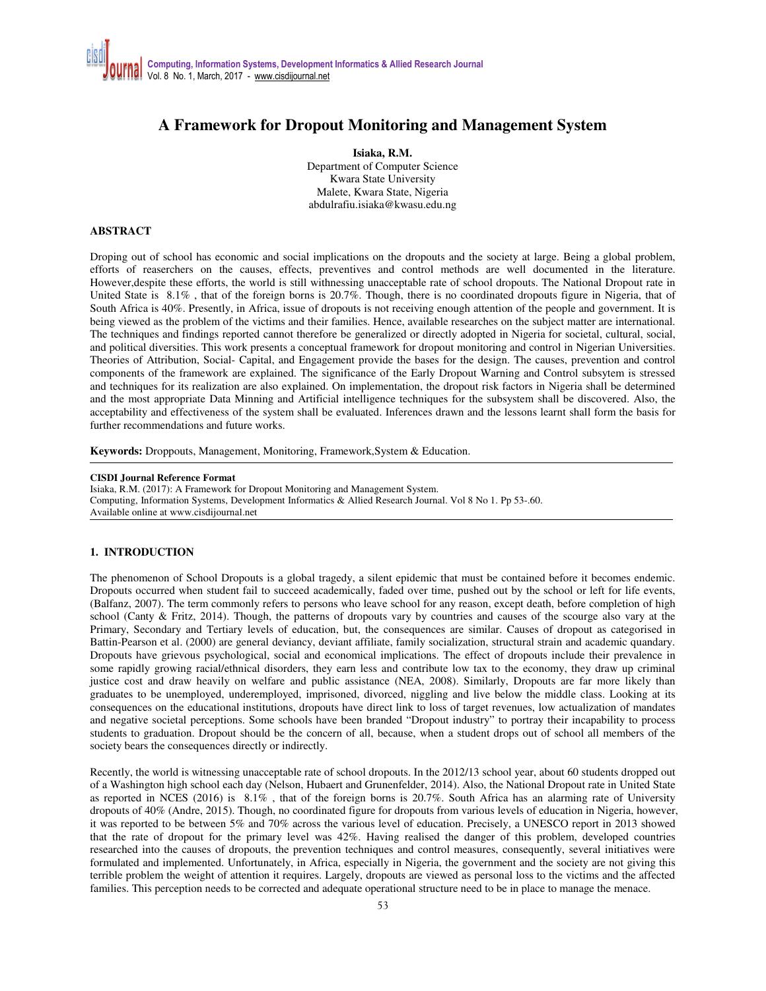# **A Framework for Dropout Monitoring and Management System**

**Isiaka, R.M.**  Department of Computer Science Kwara State University Malete, Kwara State, Nigeria abdulrafiu.isiaka@kwasu.edu.ng

## **ABSTRACT**

Droping out of school has economic and social implications on the dropouts and the society at large. Being a global problem, efforts of reaserchers on the causes, effects, preventives and control methods are well documented in the literature. However,despite these efforts, the world is still withnessing unacceptable rate of school dropouts. The National Dropout rate in United State is 8.1% , that of the foreign borns is 20.7%. Though, there is no coordinated dropouts figure in Nigeria, that of South Africa is 40%. Presently, in Africa, issue of dropouts is not receiving enough attention of the people and government. It is being viewed as the problem of the victims and their families. Hence, available researches on the subject matter are international. The techniques and findings reported cannot therefore be generalized or directly adopted in Nigeria for societal, cultural, social, and political diversities. This work presents a conceptual framework for dropout monitoring and control in Nigerian Universities. Theories of Attribution, Social- Capital, and Engagement provide the bases for the design. The causes, prevention and control components of the framework are explained. The significance of the Early Dropout Warning and Control subsytem is stressed and techniques for its realization are also explained. On implementation, the dropout risk factors in Nigeria shall be determined and the most appropriate Data Minning and Artificial intelligence techniques for the subsystem shall be discovered. Also, the acceptability and effectiveness of the system shall be evaluated. Inferences drawn and the lessons learnt shall form the basis for further recommendations and future works.

**Keywords:** Droppouts, Management, Monitoring, Framework,System & Education.

#### **CISDI Journal Reference Format**

Isiaka, R.M. (2017): A Framework for Dropout Monitoring and Management System. Computing, Information Systems, Development Informatics & Allied Research Journal. Vol 8 No 1. Pp 53-.60. Available online at www.cisdijournal.net

## **1. INTRODUCTION**

The phenomenon of School Dropouts is a global tragedy, a silent epidemic that must be contained before it becomes endemic. Dropouts occurred when student fail to succeed academically, faded over time, pushed out by the school or left for life events, (Balfanz, 2007). The term commonly refers to persons who leave school for any reason, except death, before completion of high school (Canty & Fritz, 2014). Though, the patterns of dropouts vary by countries and causes of the scourge also vary at the Primary, Secondary and Tertiary levels of education, but, the consequences are similar. Causes of dropout as categorised in Battin-Pearson et al. (2000) are general deviancy, deviant affiliate, family socialization, structural strain and academic quandary. Dropouts have grievous psychological, social and economical implications. The effect of dropouts include their prevalence in some rapidly growing racial/ethnical disorders, they earn less and contribute low tax to the economy, they draw up criminal justice cost and draw heavily on welfare and public assistance (NEA, 2008). Similarly, Dropouts are far more likely than graduates to be unemployed, underemployed, imprisoned, divorced, niggling and live below the middle class. Looking at its consequences on the educational institutions, dropouts have direct link to loss of target revenues, low actualization of mandates and negative societal perceptions. Some schools have been branded "Dropout industry" to portray their incapability to process students to graduation. Dropout should be the concern of all, because, when a student drops out of school all members of the society bears the consequences directly or indirectly.

Recently, the world is witnessing unacceptable rate of school dropouts. In the 2012/13 school year, about 60 students dropped out of a Washington high school each day (Nelson, Hubaert and Grunenfelder, 2014). Also, the National Dropout rate in United State as reported in NCES (2016) is 8.1% , that of the foreign borns is 20.7%. South Africa has an alarming rate of University dropouts of 40% (Andre, 2015). Though, no coordinated figure for dropouts from various levels of education in Nigeria, however, it was reported to be between 5% and 70% across the various level of education. Precisely, a UNESCO report in 2013 showed that the rate of dropout for the primary level was 42%. Having realised the danger of this problem, developed countries researched into the causes of dropouts, the prevention techniques and control measures, consequently, several initiatives were formulated and implemented. Unfortunately, in Africa, especially in Nigeria, the government and the society are not giving this terrible problem the weight of attention it requires. Largely, dropouts are viewed as personal loss to the victims and the affected families. This perception needs to be corrected and adequate operational structure need to be in place to manage the menace.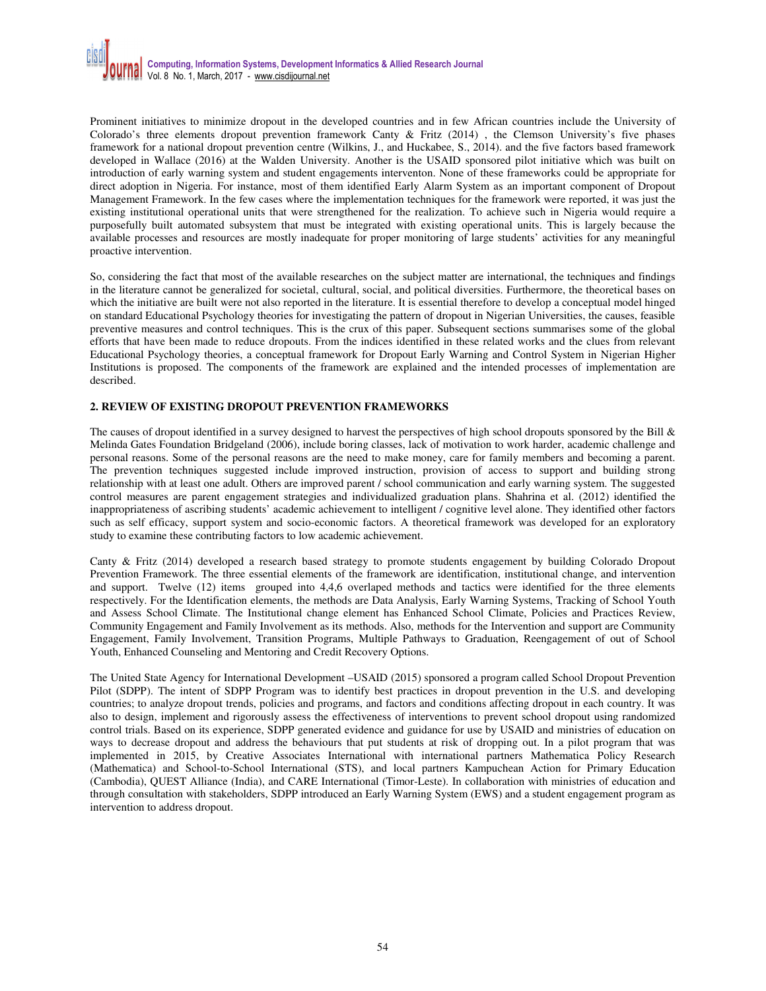Prominent initiatives to minimize dropout in the developed countries and in few African countries include the University of Colorado's three elements dropout prevention framework Canty & Fritz (2014) , the Clemson University's five phases framework for a national dropout prevention centre (Wilkins, J., and Huckabee, S., 2014). and the five factors based framework developed in Wallace (2016) at the Walden University. Another is the USAID sponsored pilot initiative which was built on introduction of early warning system and student engagements interventon. None of these frameworks could be appropriate for direct adoption in Nigeria. For instance, most of them identified Early Alarm System as an important component of Dropout Management Framework. In the few cases where the implementation techniques for the framework were reported, it was just the existing institutional operational units that were strengthened for the realization. To achieve such in Nigeria would require a purposefully built automated subsystem that must be integrated with existing operational units. This is largely because the available processes and resources are mostly inadequate for proper monitoring of large students' activities for any meaningful proactive intervention.

So, considering the fact that most of the available researches on the subject matter are international, the techniques and findings in the literature cannot be generalized for societal, cultural, social, and political diversities. Furthermore, the theoretical bases on which the initiative are built were not also reported in the literature. It is essential therefore to develop a conceptual model hinged on standard Educational Psychology theories for investigating the pattern of dropout in Nigerian Universities, the causes, feasible preventive measures and control techniques. This is the crux of this paper. Subsequent sections summarises some of the global efforts that have been made to reduce dropouts. From the indices identified in these related works and the clues from relevant Educational Psychology theories, a conceptual framework for Dropout Early Warning and Control System in Nigerian Higher Institutions is proposed. The components of the framework are explained and the intended processes of implementation are described.

# **2. REVIEW OF EXISTING DROPOUT PREVENTION FRAMEWORKS**

The causes of dropout identified in a survey designed to harvest the perspectives of high school dropouts sponsored by the Bill & Melinda Gates Foundation Bridgeland (2006), include boring classes, lack of motivation to work harder, academic challenge and personal reasons. Some of the personal reasons are the need to make money, care for family members and becoming a parent. The prevention techniques suggested include improved instruction, provision of access to support and building strong relationship with at least one adult. Others are improved parent / school communication and early warning system. The suggested control measures are parent engagement strategies and individualized graduation plans. Shahrina et al. (2012) identified the inappropriateness of ascribing students' academic achievement to intelligent / cognitive level alone. They identified other factors such as self efficacy, support system and socio-economic factors. A theoretical framework was developed for an exploratory study to examine these contributing factors to low academic achievement.

Canty & Fritz (2014) developed a research based strategy to promote students engagement by building Colorado Dropout Prevention Framework. The three essential elements of the framework are identification, institutional change, and intervention and support. Twelve (12) items grouped into 4,4,6 overlaped methods and tactics were identified for the three elements respectively. For the Identification elements, the methods are Data Analysis, Early Warning Systems, Tracking of School Youth and Assess School Climate. The Institutional change element has Enhanced School Climate, Policies and Practices Review, Community Engagement and Family Involvement as its methods. Also, methods for the Intervention and support are Community Engagement, Family Involvement, Transition Programs, Multiple Pathways to Graduation, Reengagement of out of School Youth, Enhanced Counseling and Mentoring and Credit Recovery Options.

The United State Agency for International Development –USAID (2015) sponsored a program called School Dropout Prevention Pilot (SDPP). The intent of SDPP Program was to identify best practices in dropout prevention in the U.S. and developing countries; to analyze dropout trends, policies and programs, and factors and conditions affecting dropout in each country. It was also to design, implement and rigorously assess the effectiveness of interventions to prevent school dropout using randomized control trials. Based on its experience, SDPP generated evidence and guidance for use by USAID and ministries of education on ways to decrease dropout and address the behaviours that put students at risk of dropping out. In a pilot program that was implemented in 2015, by Creative Associates International with international partners Mathematica Policy Research (Mathematica) and School-to-School International (STS), and local partners Kampuchean Action for Primary Education (Cambodia), QUEST Alliance (India), and CARE International (Timor-Leste). In collaboration with ministries of education and through consultation with stakeholders, SDPP introduced an Early Warning System (EWS) and a student engagement program as intervention to address dropout.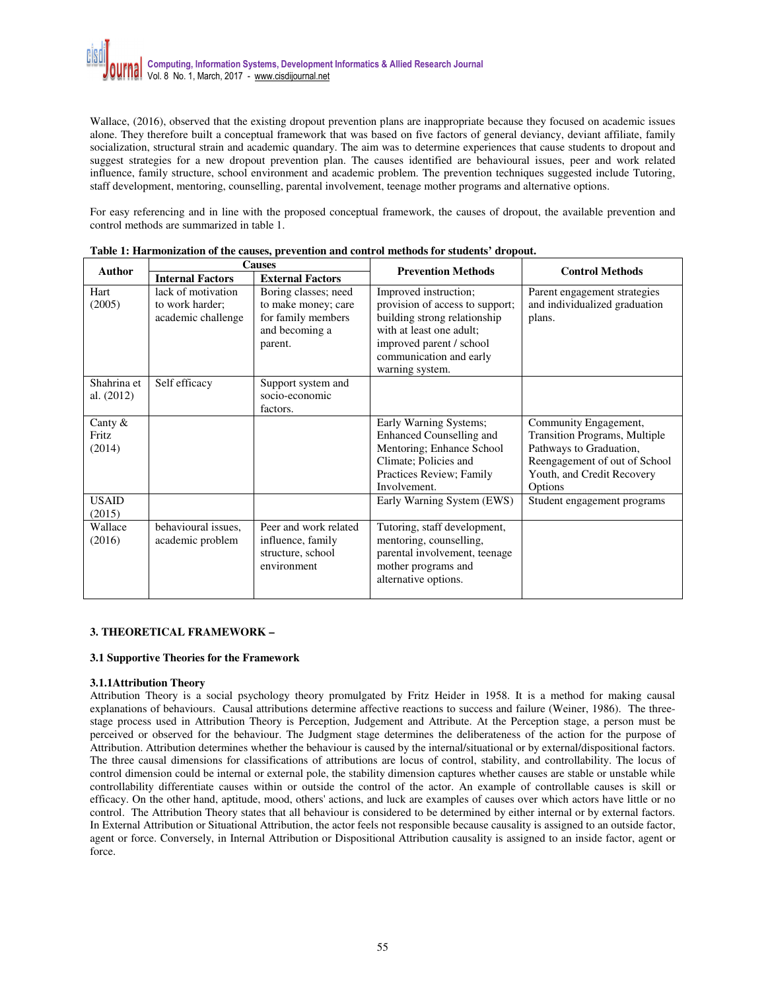Wallace, (2016), observed that the existing dropout prevention plans are inappropriate because they focused on academic issues alone. They therefore built a conceptual framework that was based on five factors of general deviancy, deviant affiliate, family socialization, structural strain and academic quandary. The aim was to determine experiences that cause students to dropout and suggest strategies for a new dropout prevention plan. The causes identified are behavioural issues, peer and work related influence, family structure, school environment and academic problem. The prevention techniques suggested include Tutoring, staff development, mentoring, counselling, parental involvement, teenage mother programs and alternative options.

For easy referencing and in line with the proposed conceptual framework, the causes of dropout, the available prevention and control methods are summarized in table 1.

| <b>Author</b> | <b>Causes</b>           |                         | <b>Prevention Methods</b>       | <b>Control Methods</b>        |
|---------------|-------------------------|-------------------------|---------------------------------|-------------------------------|
|               | <b>Internal Factors</b> | <b>External Factors</b> |                                 |                               |
| Hart          | lack of motivation      | Boring classes; need    | Improved instruction;           | Parent engagement strategies  |
| (2005)        | to work harder;         | to make money; care     | provision of access to support; | and individualized graduation |
|               | academic challenge      | for family members      | building strong relationship    | plans.                        |
|               |                         | and becoming a          | with at least one adult:        |                               |
|               |                         | parent.                 | improved parent / school        |                               |
|               |                         |                         | communication and early         |                               |
|               |                         |                         | warning system.                 |                               |
| Shahrina et   | Self efficacy           | Support system and      |                                 |                               |
| al. $(2012)$  |                         | socio-economic          |                                 |                               |
|               |                         | factors.                |                                 |                               |
| Canty $\&$    |                         |                         | Early Warning Systems;          | Community Engagement,         |
| Fritz         |                         |                         | <b>Enhanced Counselling and</b> | Transition Programs, Multiple |
| (2014)        |                         |                         | Mentoring; Enhance School       | Pathways to Graduation,       |
|               |                         |                         | Climate; Policies and           | Reengagement of out of School |
|               |                         |                         | Practices Review; Family        | Youth, and Credit Recovery    |
|               |                         |                         | Involvement.                    | Options                       |
| <b>USAID</b>  |                         |                         | Early Warning System (EWS)      | Student engagement programs   |
| (2015)        |                         |                         |                                 |                               |
| Wallace       | behavioural issues.     | Peer and work related   | Tutoring, staff development,    |                               |
| (2016)        | academic problem        | influence, family       | mentoring, counselling,         |                               |
|               |                         | structure, school       | parental involvement, teenage   |                               |
|               |                         | environment             | mother programs and             |                               |
|               |                         |                         | alternative options.            |                               |
|               |                         |                         |                                 |                               |

| Table 1: Harmonization of the causes, prevention and control methods for students' dropout. |  |
|---------------------------------------------------------------------------------------------|--|
|---------------------------------------------------------------------------------------------|--|

## **3. THEORETICAL FRAMEWORK –**

## **3.1 Supportive Theories for the Framework**

## **3.1.1Attribution Theory**

Attribution Theory is a social psychology theory promulgated by Fritz Heider in 1958. It is a method for making causal explanations of behaviours. Causal attributions determine affective reactions to success and failure (Weiner, 1986). The threestage process used in Attribution Theory is Perception, Judgement and Attribute. At the Perception stage, a person must be perceived or observed for the behaviour. The Judgment stage determines the deliberateness of the action for the purpose of Attribution. Attribution determines whether the behaviour is caused by the internal/situational or by external/dispositional factors. The three causal dimensions for classifications of attributions are locus of control, stability, and controllability. The locus of control dimension could be internal or external pole, the stability dimension captures whether causes are stable or unstable while controllability differentiate causes within or outside the control of the actor. An example of controllable causes is skill or efficacy. On the other hand, aptitude, mood, others' actions, and luck are examples of causes over which actors have little or no control. The Attribution Theory states that all behaviour is considered to be determined by either internal or by external factors. In External Attribution or Situational Attribution, the actor feels not responsible because causality is assigned to an outside factor, agent or force. Conversely, in Internal Attribution or Dispositional Attribution causality is assigned to an inside factor, agent or force.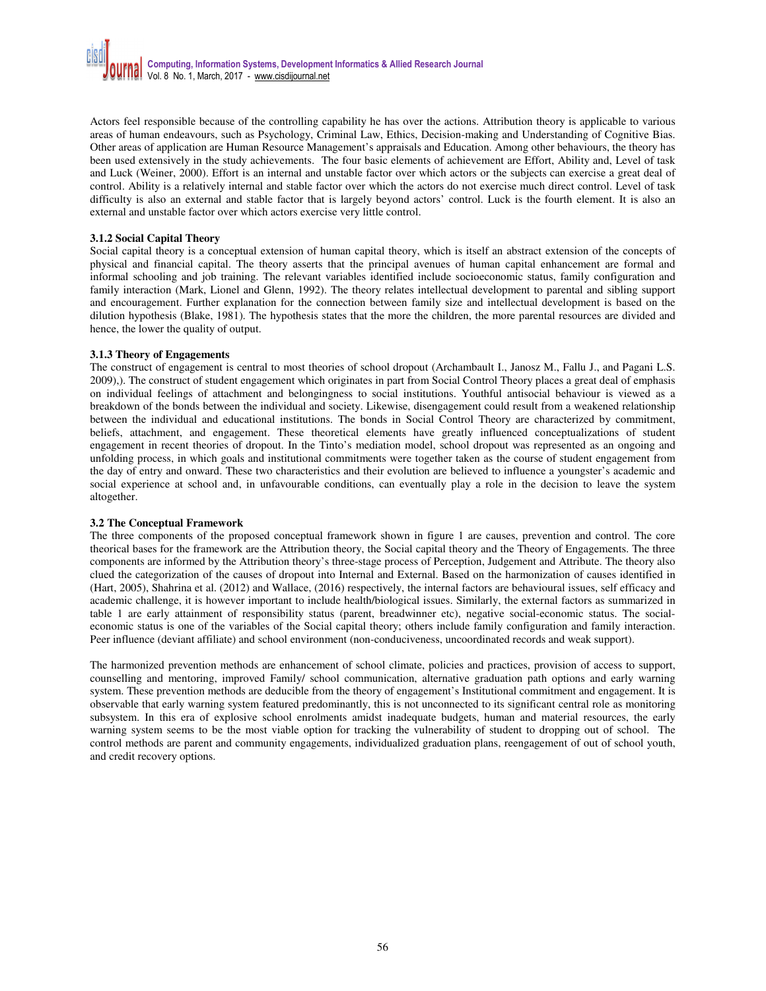Actors feel responsible because of the controlling capability he has over the actions. Attribution theory is applicable to various areas of human endeavours, such as Psychology, Criminal Law, Ethics, Decision-making and Understanding of Cognitive Bias. Other areas of application are Human Resource Management's appraisals and Education. Among other behaviours, the theory has been used extensively in the study achievements. The four basic elements of achievement are Effort, Ability and, Level of task and Luck (Weiner, 2000). Effort is an internal and unstable factor over which actors or the subjects can exercise a great deal of control. Ability is a relatively internal and stable factor over which the actors do not exercise much direct control. Level of task difficulty is also an external and stable factor that is largely beyond actors' control. Luck is the fourth element. It is also an external and unstable factor over which actors exercise very little control.

## **3.1.2 Social Capital Theory**

Social capital theory is a conceptual extension of human capital theory, which is itself an abstract extension of the concepts of physical and financial capital. The theory asserts that the principal avenues of human capital enhancement are formal and informal schooling and job training. The relevant variables identified include socioeconomic status, family configuration and family interaction (Mark, Lionel and Glenn, 1992). The theory relates intellectual development to parental and sibling support and encouragement. Further explanation for the connection between family size and intellectual development is based on the dilution hypothesis (Blake, 1981). The hypothesis states that the more the children, the more parental resources are divided and hence, the lower the quality of output.

## **3.1.3 Theory of Engagements**

The construct of engagement is central to most theories of school dropout (Archambault I., Janosz M., Fallu J., and Pagani L.S. 2009),). The construct of student engagement which originates in part from Social Control Theory places a great deal of emphasis on individual feelings of attachment and belongingness to social institutions. Youthful antisocial behaviour is viewed as a breakdown of the bonds between the individual and society. Likewise, disengagement could result from a weakened relationship between the individual and educational institutions. The bonds in Social Control Theory are characterized by commitment, beliefs, attachment, and engagement. These theoretical elements have greatly influenced conceptualizations of student engagement in recent theories of dropout. In the Tinto's mediation model, school dropout was represented as an ongoing and unfolding process, in which goals and institutional commitments were together taken as the course of student engagement from the day of entry and onward. These two characteristics and their evolution are believed to influence a youngster's academic and social experience at school and, in unfavourable conditions, can eventually play a role in the decision to leave the system altogether.

# **3.2 The Conceptual Framework**

The three components of the proposed conceptual framework shown in figure 1 are causes, prevention and control. The core theorical bases for the framework are the Attribution theory, the Social capital theory and the Theory of Engagements. The three components are informed by the Attribution theory's three-stage process of Perception, Judgement and Attribute. The theory also clued the categorization of the causes of dropout into Internal and External. Based on the harmonization of causes identified in (Hart, 2005), Shahrina et al. (2012) and Wallace, (2016) respectively, the internal factors are behavioural issues, self efficacy and academic challenge, it is however important to include health/biological issues. Similarly, the external factors as summarized in table 1 are early attainment of responsibility status (parent, breadwinner etc), negative social-economic status. The socialeconomic status is one of the variables of the Social capital theory; others include family configuration and family interaction. Peer influence (deviant affiliate) and school environment (non-conduciveness, uncoordinated records and weak support).

The harmonized prevention methods are enhancement of school climate, policies and practices, provision of access to support, counselling and mentoring, improved Family/ school communication, alternative graduation path options and early warning system. These prevention methods are deducible from the theory of engagement's Institutional commitment and engagement. It is observable that early warning system featured predominantly, this is not unconnected to its significant central role as monitoring subsystem. In this era of explosive school enrolments amidst inadequate budgets, human and material resources, the early warning system seems to be the most viable option for tracking the vulnerability of student to dropping out of school. The control methods are parent and community engagements, individualized graduation plans, reengagement of out of school youth, and credit recovery options.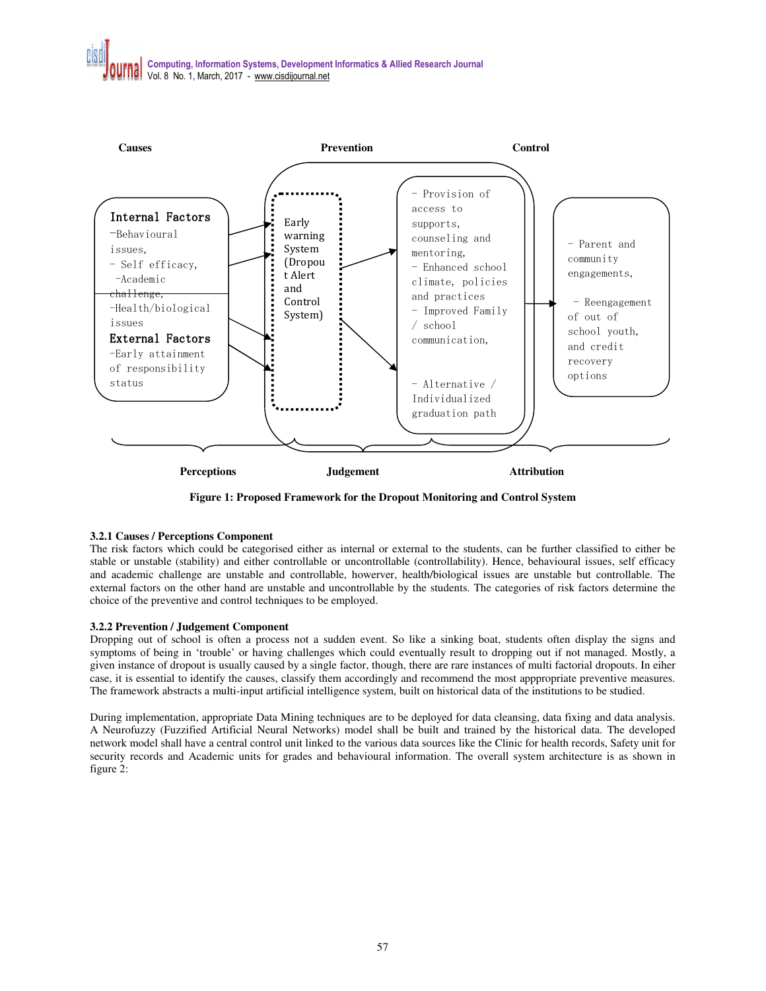

**Figure 1: Proposed Framework for the Dropout Monitoring and Control System** 

# **3.2.1 Causes / Perceptions Component**

The risk factors which could be categorised either as internal or external to the students, can be further classified to either be stable or unstable (stability) and either controllable or uncontrollable (controllability). Hence, behavioural issues, self efficacy and academic challenge are unstable and controllable, howerver, health/biological issues are unstable but controllable. The external factors on the other hand are unstable and uncontrollable by the students. The categories of risk factors determine the choice of the preventive and control techniques to be employed.

# **3.2.2 Prevention / Judgement Component**

Dropping out of school is often a process not a sudden event. So like a sinking boat, students often display the signs and symptoms of being in 'trouble' or having challenges which could eventually result to dropping out if not managed. Mostly, a given instance of dropout is usually caused by a single factor, though, there are rare instances of multi factorial dropouts. In eiher case, it is essential to identify the causes, classify them accordingly and recommend the most apppropriate preventive measures. The framework abstracts a multi-input artificial intelligence system, built on historical data of the institutions to be studied.

During implementation, appropriate Data Mining techniques are to be deployed for data cleansing, data fixing and data analysis. A Neurofuzzy (Fuzzified Artificial Neural Networks) model shall be built and trained by the historical data. The developed network model shall have a central control unit linked to the various data sources like the Clinic for health records, Safety unit for security records and Academic units for grades and behavioural information. The overall system architecture is as shown in figure 2: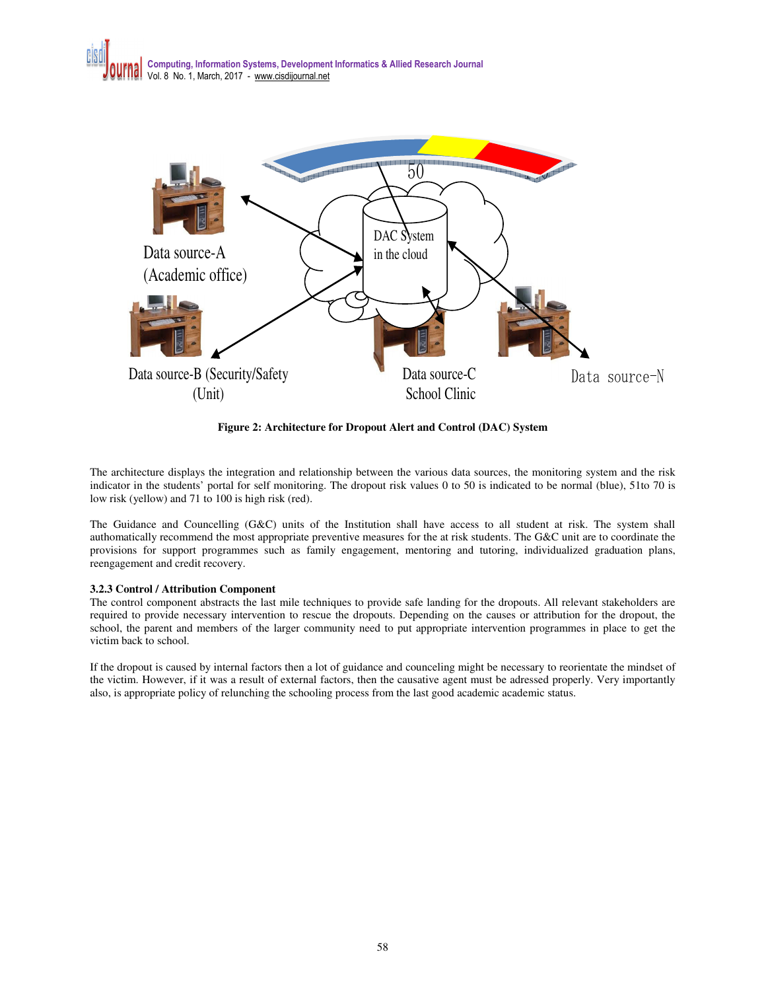



**Figure 2: Architecture for Dropout Alert and Control (DAC) System** 

The architecture displays the integration and relationship between the various data sources, the monitoring system and the risk indicator in the students' portal for self monitoring. The dropout risk values 0 to 50 is indicated to be normal (blue), 51to 70 is low risk (yellow) and 71 to 100 is high risk (red).

The Guidance and Councelling (G&C) units of the Institution shall have access to all student at risk. The system shall authomatically recommend the most appropriate preventive measures for the at risk students. The G&C unit are to coordinate the provisions for support programmes such as family engagement, mentoring and tutoring, individualized graduation plans, reengagement and credit recovery.

## **3.2.3 Control / Attribution Component**

The control component abstracts the last mile techniques to provide safe landing for the dropouts. All relevant stakeholders are required to provide necessary intervention to rescue the dropouts. Depending on the causes or attribution for the dropout, the school, the parent and members of the larger community need to put appropriate intervention programmes in place to get the victim back to school.

If the dropout is caused by internal factors then a lot of guidance and counceling might be necessary to reorientate the mindset of the victim. However, if it was a result of external factors, then the causative agent must be adressed properly. Very importantly also, is appropriate policy of relunching the schooling process from the last good academic academic status.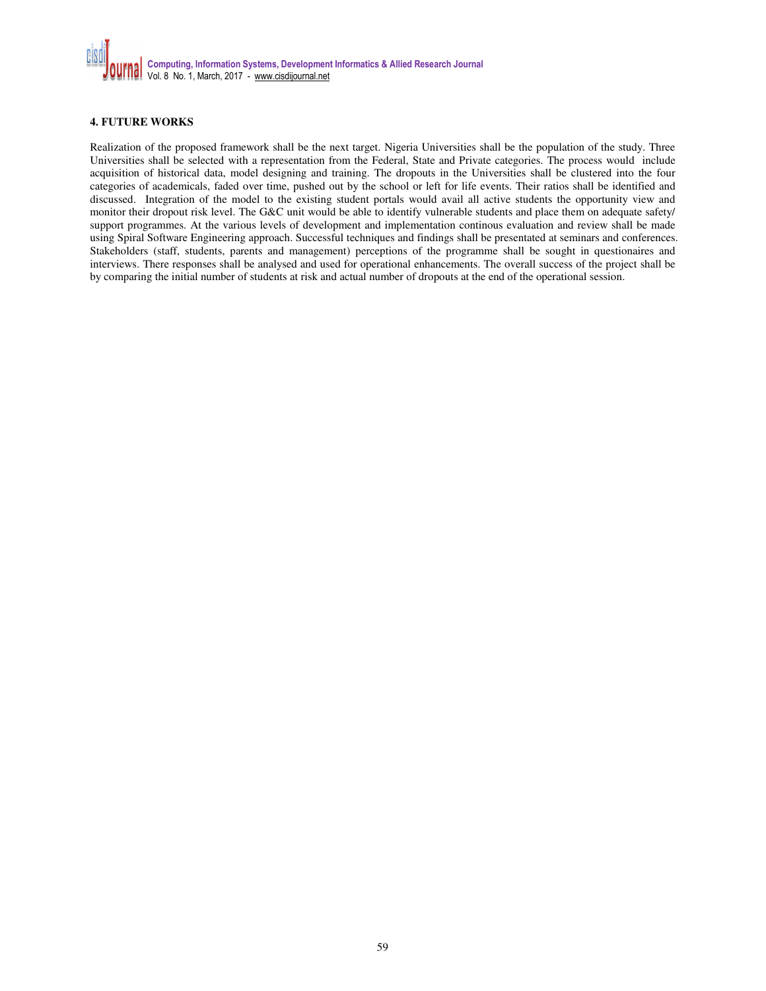

# **4. FUTURE WORKS**

Realization of the proposed framework shall be the next target. Nigeria Universities shall be the population of the study. Three Universities shall be selected with a representation from the Federal, State and Private categories. The process would include acquisition of historical data, model designing and training. The dropouts in the Universities shall be clustered into the four categories of academicals, faded over time, pushed out by the school or left for life events. Their ratios shall be identified and discussed. Integration of the model to the existing student portals would avail all active students the opportunity view and monitor their dropout risk level. The G&C unit would be able to identify vulnerable students and place them on adequate safety/ support programmes. At the various levels of development and implementation continous evaluation and review shall be made using Spiral Software Engineering approach. Successful techniques and findings shall be presentated at seminars and conferences. Stakeholders (staff, students, parents and management) perceptions of the programme shall be sought in questionaires and interviews. There responses shall be analysed and used for operational enhancements. The overall success of the project shall be by comparing the initial number of students at risk and actual number of dropouts at the end of the operational session.